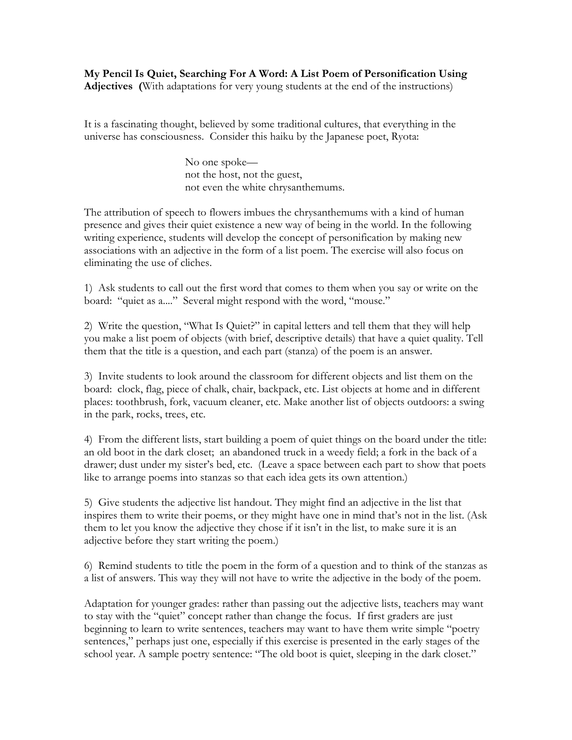**My Pencil Is Quiet, Searching For A Word: A List Poem of Personification Using Adjectives (**With adaptations for very young students at the end of the instructions)

It is a fascinating thought, believed by some traditional cultures, that everything in the universe has consciousness. Consider this haiku by the Japanese poet, Ryota:

> No one spoke not the host, not the guest, not even the white chrysanthemums.

The attribution of speech to flowers imbues the chrysanthemums with a kind of human presence and gives their quiet existence a new way of being in the world. In the following writing experience, students will develop the concept of personification by making new associations with an adjective in the form of a list poem. The exercise will also focus on eliminating the use of cliches.

1) Ask students to call out the first word that comes to them when you say or write on the board: "quiet as a...." Several might respond with the word, "mouse."

2) Write the question, "What Is Quiet?" in capital letters and tell them that they will help you make a list poem of objects (with brief, descriptive details) that have a quiet quality. Tell them that the title is a question, and each part (stanza) of the poem is an answer.

3) Invite students to look around the classroom for different objects and list them on the board: clock, flag, piece of chalk, chair, backpack, etc. List objects at home and in different places: toothbrush, fork, vacuum cleaner, etc. Make another list of objects outdoors: a swing in the park, rocks, trees, etc.

4) From the different lists, start building a poem of quiet things on the board under the title: an old boot in the dark closet; an abandoned truck in a weedy field; a fork in the back of a drawer; dust under my sister's bed, etc. (Leave a space between each part to show that poets like to arrange poems into stanzas so that each idea gets its own attention.)

5) Give students the adjective list handout. They might find an adjective in the list that inspires them to write their poems, or they might have one in mind that's not in the list. (Ask them to let you know the adjective they chose if it isn't in the list, to make sure it is an adjective before they start writing the poem.)

6) Remind students to title the poem in the form of a question and to think of the stanzas as a list of answers. This way they will not have to write the adjective in the body of the poem.

Adaptation for younger grades: rather than passing out the adjective lists, teachers may want to stay with the "quiet" concept rather than change the focus. If first graders are just beginning to learn to write sentences, teachers may want to have them write simple "poetry sentences," perhaps just one, especially if this exercise is presented in the early stages of the school year. A sample poetry sentence: "The old boot is quiet, sleeping in the dark closet."